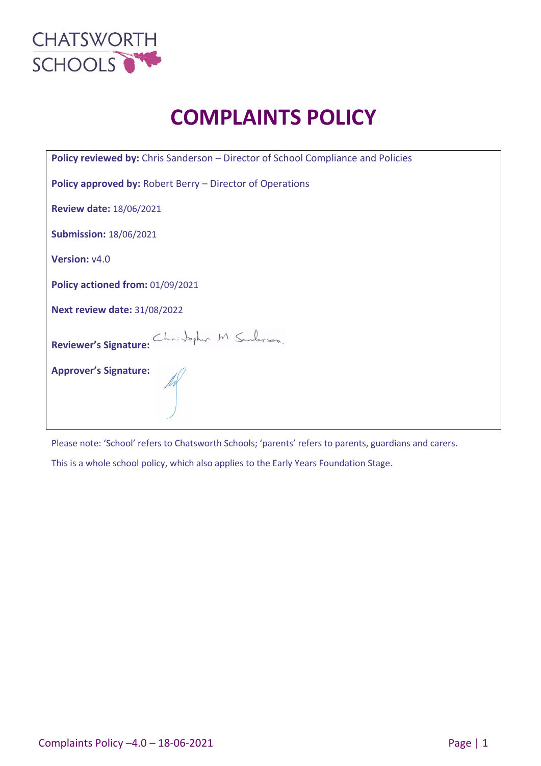

# **COMPLAINTS POLICY**

| Policy reviewed by: Chris Sanderson - Director of School Compliance and Policies |  |  |  |  |
|----------------------------------------------------------------------------------|--|--|--|--|
| <b>Policy approved by: Robert Berry – Director of Operations</b>                 |  |  |  |  |
| <b>Review date: 18/06/2021</b>                                                   |  |  |  |  |
| <b>Submission: 18/06/2021</b>                                                    |  |  |  |  |
| Version: v4.0                                                                    |  |  |  |  |
| Policy actioned from: 01/09/2021                                                 |  |  |  |  |
| <b>Next review date: 31/08/2022</b>                                              |  |  |  |  |
| Christopher M Sanderson.<br><b>Reviewer's Signature:</b>                         |  |  |  |  |
| <b>Approver's Signature:</b>                                                     |  |  |  |  |

Please note: 'School' refers to Chatsworth Schools; 'parents' refers to parents, guardians and carers.

This is a whole school policy, which also applies to the Early Years Foundation Stage.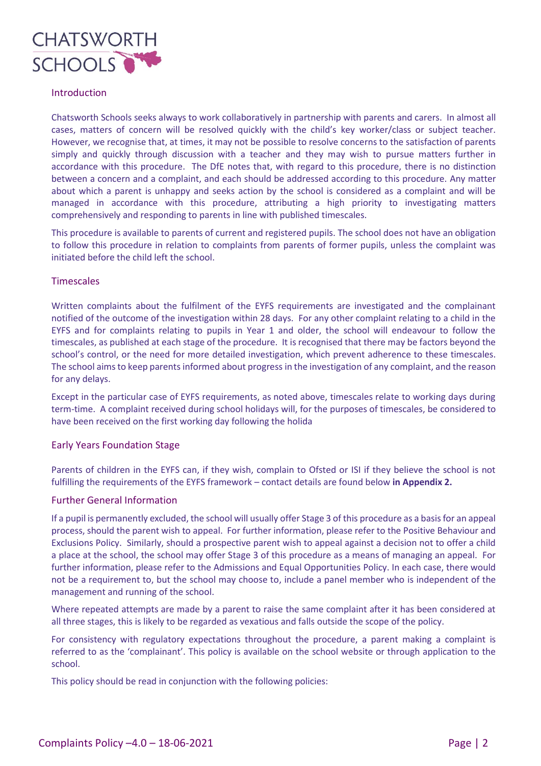

# Introduction

Chatsworth Schools seeks always to work collaboratively in partnership with parents and carers. In almost all cases, matters of concern will be resolved quickly with the child's key worker/class or subject teacher. However, we recognise that, at times, it may not be possible to resolve concerns to the satisfaction of parents simply and quickly through discussion with a teacher and they may wish to pursue matters further in accordance with this procedure. The DfE notes that, with regard to this procedure, there is no distinction between a concern and a complaint, and each should be addressed according to this procedure. Any matter about which a parent is unhappy and seeks action by the school is considered as a complaint and will be managed in accordance with this procedure, attributing a high priority to investigating matters comprehensively and responding to parents in line with published timescales.

This procedure is available to parents of current and registered pupils. The school does not have an obligation to follow this procedure in relation to complaints from parents of former pupils, unless the complaint was initiated before the child left the school.

# **Timescales**

Written complaints about the fulfilment of the EYFS requirements are investigated and the complainant notified of the outcome of the investigation within 28 days. For any other complaint relating to a child in the EYFS and for complaints relating to pupils in Year 1 and older, the school will endeavour to follow the timescales, as published at each stage of the procedure. It is recognised that there may be factors beyond the school's control, or the need for more detailed investigation, which prevent adherence to these timescales. The school aims to keep parents informed about progress in the investigation of any complaint, and the reason for any delays.

Except in the particular case of EYFS requirements, as noted above, timescales relate to working days during term-time. A complaint received during school holidays will, for the purposes of timescales, be considered to have been received on the first working day following the holida

# Early Years Foundation Stage

Parents of children in the EYFS can, if they wish, complain to Ofsted or ISI if they believe the school is not fulfilling the requirements of the EYFS framework – contact details are found below **in Appendix 2.**

# Further General Information

If a pupil is permanently excluded, the school will usually offer Stage 3 of this procedure as a basis for an appeal process, should the parent wish to appeal. For further information, please refer to the Positive Behaviour and Exclusions Policy. Similarly, should a prospective parent wish to appeal against a decision not to offer a child a place at the school, the school may offer Stage 3 of this procedure as a means of managing an appeal. For further information, please refer to the Admissions and Equal Opportunities Policy. In each case, there would not be a requirement to, but the school may choose to, include a panel member who is independent of the management and running of the school.

Where repeated attempts are made by a parent to raise the same complaint after it has been considered at all three stages, this is likely to be regarded as vexatious and falls outside the scope of the policy.

For consistency with regulatory expectations throughout the procedure, a parent making a complaint is referred to as the 'complainant'. This policy is available on the school website or through application to the school.

This policy should be read in conjunction with the following policies: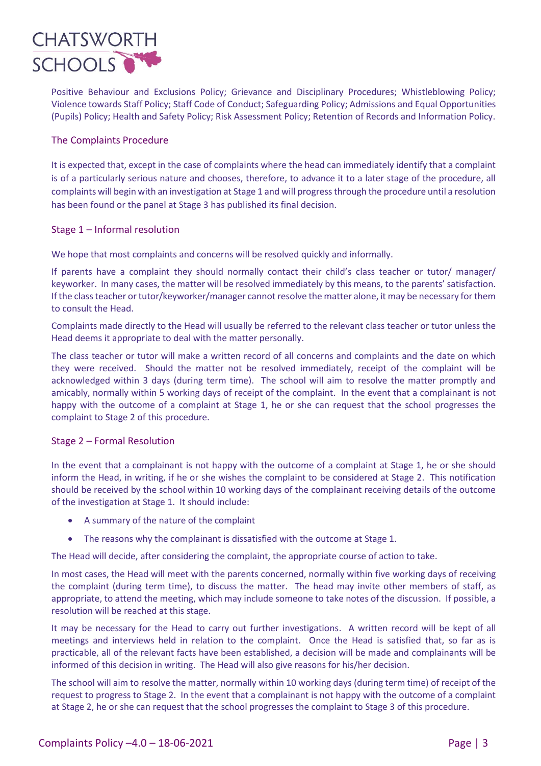

Positive Behaviour and Exclusions Policy; Grievance and Disciplinary Procedures; Whistleblowing Policy; Violence towards Staff Policy; Staff Code of Conduct; Safeguarding Policy; Admissions and Equal Opportunities (Pupils) Policy; Health and Safety Policy; Risk Assessment Policy; Retention of Records and Information Policy.

# The Complaints Procedure

It is expected that, except in the case of complaints where the head can immediately identify that a complaint is of a particularly serious nature and chooses, therefore, to advance it to a later stage of the procedure, all complaints will begin with an investigation at Stage 1 and will progress through the procedure until a resolution has been found or the panel at Stage 3 has published its final decision.

# Stage 1 – Informal resolution

We hope that most complaints and concerns will be resolved quickly and informally.

If parents have a complaint they should normally contact their child's class teacher or tutor/ manager/ keyworker. In many cases, the matter will be resolved immediately by this means, to the parents' satisfaction. If the class teacher or tutor/keyworker/manager cannot resolve the matter alone, it may be necessary for them to consult the Head.

Complaints made directly to the Head will usually be referred to the relevant class teacher or tutor unless the Head deems it appropriate to deal with the matter personally.

The class teacher or tutor will make a written record of all concerns and complaints and the date on which they were received. Should the matter not be resolved immediately, receipt of the complaint will be acknowledged within 3 days (during term time). The school will aim to resolve the matter promptly and amicably, normally within 5 working days of receipt of the complaint. In the event that a complainant is not happy with the outcome of a complaint at Stage 1, he or she can request that the school progresses the complaint to Stage 2 of this procedure.

# Stage 2 – Formal Resolution

In the event that a complainant is not happy with the outcome of a complaint at Stage 1, he or she should inform the Head, in writing, if he or she wishes the complaint to be considered at Stage 2. This notification should be received by the school within 10 working days of the complainant receiving details of the outcome of the investigation at Stage 1. It should include:

- A summary of the nature of the complaint
- The reasons why the complainant is dissatisfied with the outcome at Stage 1.

The Head will decide, after considering the complaint, the appropriate course of action to take.

In most cases, the Head will meet with the parents concerned, normally within five working days of receiving the complaint (during term time), to discuss the matter. The head may invite other members of staff, as appropriate, to attend the meeting, which may include someone to take notes of the discussion. If possible, a resolution will be reached at this stage.

It may be necessary for the Head to carry out further investigations. A written record will be kept of all meetings and interviews held in relation to the complaint. Once the Head is satisfied that, so far as is practicable, all of the relevant facts have been established, a decision will be made and complainants will be informed of this decision in writing. The Head will also give reasons for his/her decision.

The school will aim to resolve the matter, normally within 10 working days (during term time) of receipt of the request to progress to Stage 2. In the event that a complainant is not happy with the outcome of a complaint at Stage 2, he or she can request that the school progresses the complaint to Stage 3 of this procedure.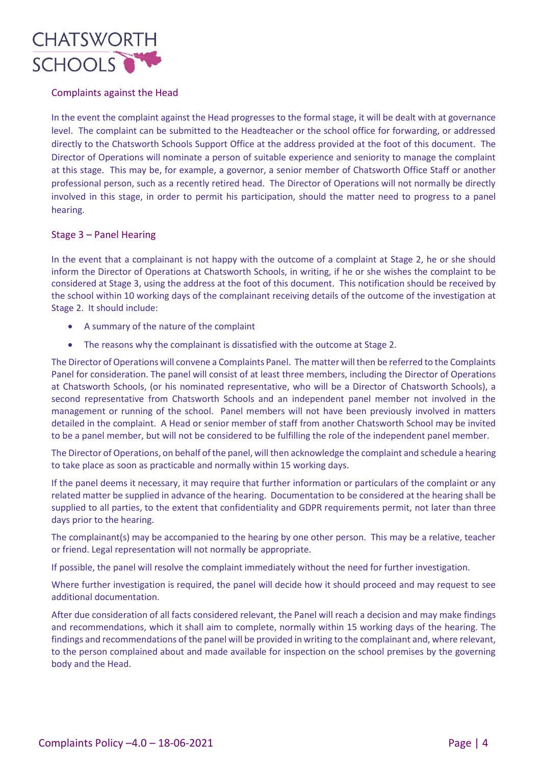

# Complaints against the Head

In the event the complaint against the Head progresses to the formal stage, it will be dealt with at governance level. The complaint can be submitted to the Headteacher or the school office for forwarding, or addressed directly to the Chatsworth Schools Support Office at the address provided at the foot of this document. The Director of Operations will nominate a person of suitable experience and seniority to manage the complaint at this stage. This may be, for example, a governor, a senior member of Chatsworth Office Staff or another professional person, such as a recently retired head. The Director of Operations will not normally be directly involved in this stage, in order to permit his participation, should the matter need to progress to a panel hearing.

# Stage 3 – Panel Hearing

In the event that a complainant is not happy with the outcome of a complaint at Stage 2, he or she should inform the Director of Operations at Chatsworth Schools, in writing, if he or she wishes the complaint to be considered at Stage 3, using the address at the foot of this document. This notification should be received by the school within 10 working days of the complainant receiving details of the outcome of the investigation at Stage 2. It should include:

- A summary of the nature of the complaint
- The reasons why the complainant is dissatisfied with the outcome at Stage 2.

The Director of Operations will convene a Complaints Panel. The matter will then be referred to the Complaints Panel for consideration. The panel will consist of at least three members, including the Director of Operations at Chatsworth Schools, (or his nominated representative, who will be a Director of Chatsworth Schools), a second representative from Chatsworth Schools and an independent panel member not involved in the management or running of the school. Panel members will not have been previously involved in matters detailed in the complaint. A Head or senior member of staff from another Chatsworth School may be invited to be a panel member, but will not be considered to be fulfilling the role of the independent panel member.

The Director of Operations, on behalf of the panel, will then acknowledge the complaint and schedule a hearing to take place as soon as practicable and normally within 15 working days.

If the panel deems it necessary, it may require that further information or particulars of the complaint or any related matter be supplied in advance of the hearing. Documentation to be considered at the hearing shall be supplied to all parties, to the extent that confidentiality and GDPR requirements permit, not later than three days prior to the hearing.

The complainant(s) may be accompanied to the hearing by one other person. This may be a relative, teacher or friend. Legal representation will not normally be appropriate.

If possible, the panel will resolve the complaint immediately without the need for further investigation.

Where further investigation is required, the panel will decide how it should proceed and may request to see additional documentation.

After due consideration of all facts considered relevant, the Panel will reach a decision and may make findings and recommendations, which it shall aim to complete, normally within 15 working days of the hearing. The findings and recommendations of the panel will be provided in writing to the complainant and, where relevant, to the person complained about and made available for inspection on the school premises by the governing body and the Head.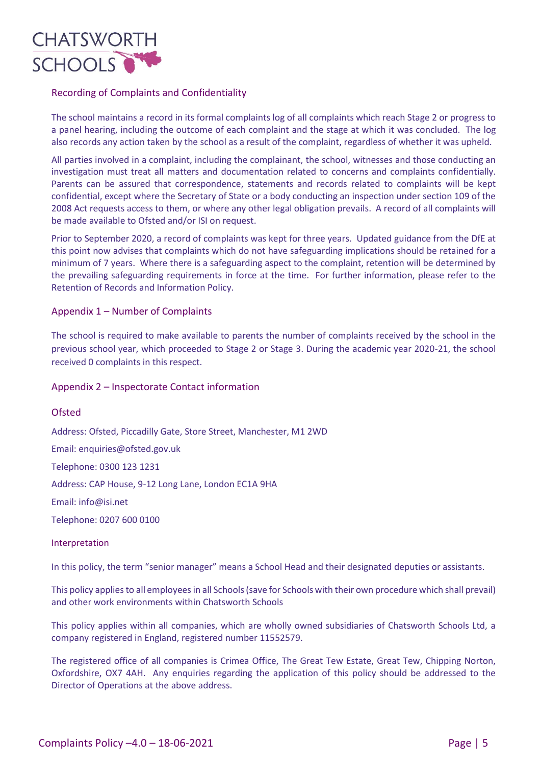

# Recording of Complaints and Confidentiality

The school maintains a record in its formal complaints log of all complaints which reach Stage 2 or progress to a panel hearing, including the outcome of each complaint and the stage at which it was concluded. The log also records any action taken by the school as a result of the complaint, regardless of whether it was upheld.

All parties involved in a complaint, including the complainant, the school, witnesses and those conducting an investigation must treat all matters and documentation related to concerns and complaints confidentially. Parents can be assured that correspondence, statements and records related to complaints will be kept confidential, except where the Secretary of State or a body conducting an inspection under section 109 of the 2008 Act requests access to them, or where any other legal obligation prevails. A record of all complaints will be made available to Ofsted and/or ISI on request.

Prior to September 2020, a record of complaints was kept for three years. Updated guidance from the DfE at this point now advises that complaints which do not have safeguarding implications should be retained for a minimum of 7 years. Where there is a safeguarding aspect to the complaint, retention will be determined by the prevailing safeguarding requirements in force at the time. For further information, please refer to the Retention of Records and Information Policy.

# Appendix 1 – Number of Complaints

The school is required to make available to parents the number of complaints received by the school in the previous school year, which proceeded to Stage 2 or Stage 3. During the academic year 2020-21, the school received 0 complaints in this respect.

# Appendix 2 – Inspectorate Contact information

Ofsted Address: Ofsted, Piccadilly Gate, Store Street, Manchester, M1 2WD Email: enquiries@ofsted.gov.uk Telephone: 0300 123 1231 Address: CAP House, 9-12 Long Lane, London EC1A 9HA Email: info@isi.net Telephone: 0207 600 0100

# Interpretation

In this policy, the term "senior manager" means a School Head and their designated deputies or assistants.

This policy applies to all employees in all Schools (save for Schools with their own procedure which shall prevail) and other work environments within Chatsworth Schools

This policy applies within all companies, which are wholly owned subsidiaries of Chatsworth Schools Ltd, a company registered in England, registered number 11552579.

The registered office of all companies is Crimea Office, The Great Tew Estate, Great Tew, Chipping Norton, Oxfordshire, OX7 4AH. Any enquiries regarding the application of this policy should be addressed to the Director of Operations at the above address.